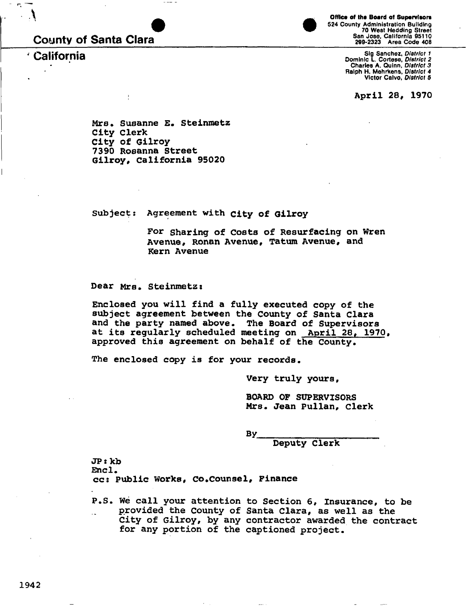## **County of Santa Clara**

**California** 

 $\mathbf{r}_i$ 

Offlco of the Board of Supervisors 524 County Administration Building 70 West Hedding Street San Jose, California 95110 299-2323 Area Code 408

> Sig Sanchez, *District 1*  Dominic L Cortese, *District 2*  Charles A. Qulnn, *District 3*  Ralph H. Mehrkens, *District 4*  Victor Calvo, *District 5*

**April 28, 1970** 

**Mrs. Susanne E. Steinmetz City Clerk City of Gilroy 7390 Rosanna Street Gilroy, California 95020** 

**Subject: Agreement with city of Gilroy** 

**For sharing of Costs of Resurfacing on Wren Avenue, Ronan Avenue, Tatum Avenue, and Kern Avenue** 

Dear Mrs. Steinmetz:

**Enclosed you will find a fully executed copy of the subject agreement between the county of Santa Clara and the party named above. The Board of Supervisors at its regularly scheduled meeting on April 28, 1970, approved this agreement on behalf of the County.** 

**The enclosed copy is for your records.** 

**Very truly yours,** 

**BOARD OP SUPERVISORS Mrs. Jean Pullan, clerk** 

**By** 

**Deputy Clerk** 

**JPt kb**  Encl. **ccs Public Works, Co.Counsel, Finance** 

**P.S. We call your attention to Section 6, Insurance, to be provided the County of Santa Clara, as well as the City of Gilroy, by any contractor awarded the contract**  for any portion of the captioned project.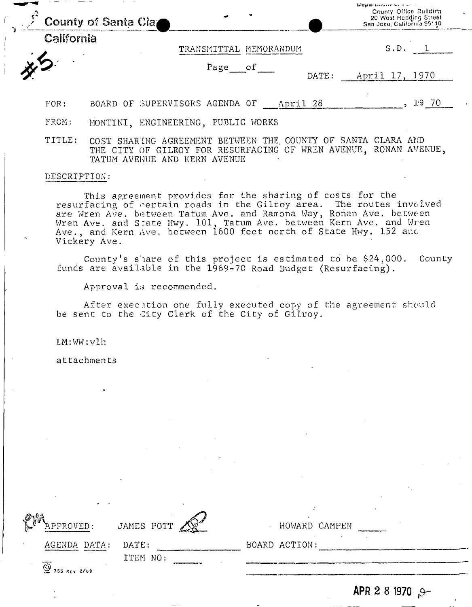| County of Santa Cla |                                            | <b>Lippartinovities</b> and the<br>County Office Building<br>20 West Hedding Street<br>San Jose, California 95110 |
|---------------------|--------------------------------------------|-------------------------------------------------------------------------------------------------------------------|
| California          | TRANSMITTAL MEMORANDUM                     | S.D.                                                                                                              |
| ぶつ                  | Page<br>оf<br>DATE:                        | April 17, 1970                                                                                                    |
| FOR:                | BOARD OF SUPERVISORS AGENDA OF<br>April 28 | 70<br>1.9.                                                                                                        |

FROM: MONTINI, ENGINEERING, PUBLIC WORKS

TITLE: COST SHARING AGREEMENT BETWEEN THE. COUNTY OF SANTA CLARA AND THE CITY OF GILROY FOR RESURFACING OF WREN AVENUE, RONAN AVENUE, TATUM AVENUE AND KERN AVENUE

## DESCRIPTION:

This agreement provides for the sharing of costs for the resurfacing of certain roads in the Gilroy area. The routes involved are Wren Ave. between Tatum Ave. and Rarrona Way, Ronan Ave. between Wren Ave. and S:ate Hwy. 101, Tatum Ave. between Kern Ave. and Wren Ave., and Kern Ave, between 1600 feet ncrth of State Hwy. 152 anc. Vickery Ave.

County's share of this project is estimated to be \$24,000. County funds are available in the 1969-70 Road Budget (Resurfacing).

Approval is recommended.

After execution one fully executed copy of the agreement should be sent to the City Clerk of the City of Gilroy.

LM:WW:vlh

attachments

| $\mathbf{r}$<br>APPROVED: | JAMES POTT | HOWARD CAMPEN |
|---------------------------|------------|---------------|
| AGENDA DATA: DATE:        |            | BOARD ACTION: |
| $9$ 755 REY 2/69          | ITEM NO:   |               |

**APR 2 8 1970**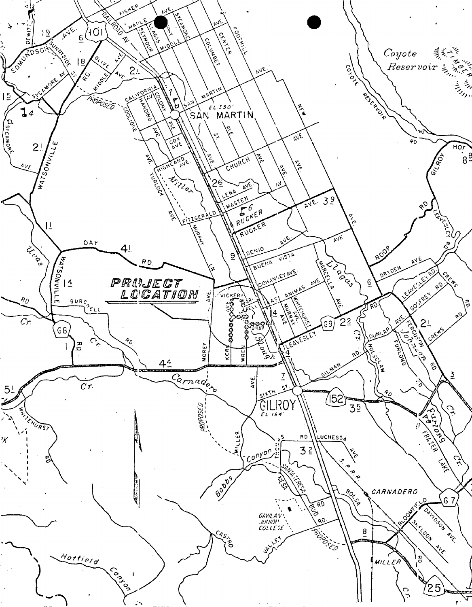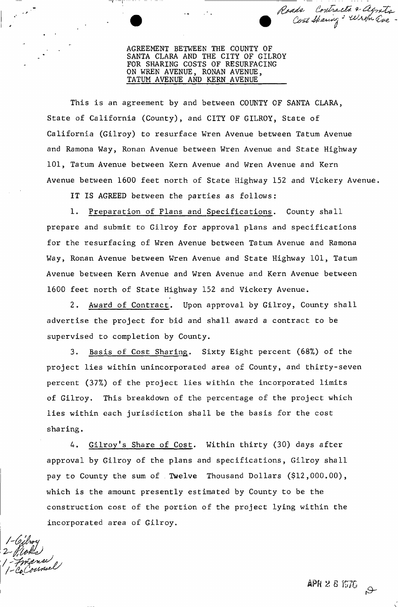**AGREEMENT BETWEEN THE COUNTY OF SANTA CLARA AND THE CITY OF GILROY FOR SHARING COSTS OF RESURFACING ON WREN AVENUE, RONAN AVENUE, TATUM AVENUE AND KERN AVENUE** 

**This is an agreement by and between COUNTY OF SANTA CLARA, State of California (County), and CITY OF GILROY, State of California (Gilroy) to resurface Wren Avenue between Tatum Avenue and Ramona Way, Ronan Avenue between Wren Avenue and State Highway 101, Tatum Avenue between Kern Avenue and Wren Avenue and Kern Avenue between 1600 feet north of State Highway 152 and Vickery Avenue.** 

**IT IS AGREED between the parties as follows:** 

**1. Preparation of Plans and Specifications. County shall prepare and submit to Gilroy for approval plans and specifications for the resurfacing of Wren Avenue between Tatum Avenue and Ramona Way, Ronan Avenue between Wren Avenue and State Highway 101, Tatum Avenue between Kern Avenue and Wren Avenue and Kern Avenue between 1600 feet north of State Highway 152 and Vickery Avenue.** 

**2. Award of Contract. Upon approval by Gilroy, County shall advertise the project for bid and shall award a contract to be supervised to completion by County.** 

**3. Basis of Cost Sharing. Sixty Eight percent (68%) of the project lies within unincorporated area of County, and thirty-seven percent (37%) of the project lies within the incorporated limits of Gilroy. This breakdown of the percentage of the project which lies within each jurisdiction shall be the basis for the cost sharing.** 

**4. Gilroy's Share of Cost. Within thirty (30) days after approval by Gilroy of the plans and specifications, Gilroy shall pay to County the sum of Twelve Thousand Dollars (\$12,000.00), which is the amount presently estimated by County to be the construction cost of the portion of the project lying within the incorporated area of Gilroy.** 

anse anse<br>ounsel

**APR** *2* 8 1576

Roads Contracts & agnite<br>Cost Sharing - Wren Que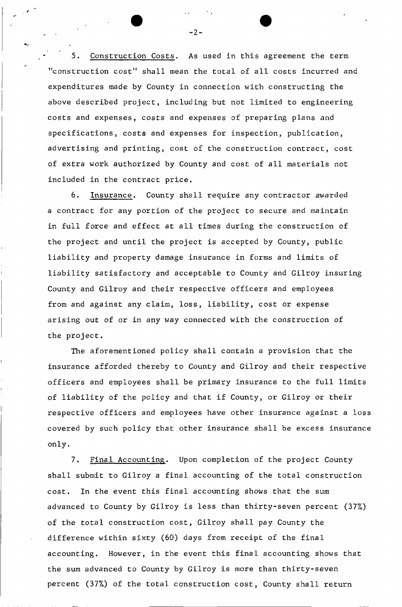**5. Construction Costs. As used in this agreement the term "construction cost" shall mean the total of all costs incurred and expenditures made by County in connection with constructing the above described project, including but not limited to engineering costs and expenses, costs and expenses of preparing plans and specifications, costs and expenses for inspection, publication, advertising and printing, cost of the construction contract, cost of extra work authorized by County and cost of all materials not included in the contract price.** 

6. **Insurance. County shall require any contractor awarded a contract for any portion of the project to secure and maintain in full force and effect at all times during the construction of the project and until the project is accepted by County, public liability and property damage insurance in forms and limits of liability satisfactory and acceptable to County and Gilroy insuring County and Gilroy and their respective officers and employees from and against any claim, loss, liability, cost or expense arising out of or in any way connected with the construction of the project.** 

**The aforementioned policy shall contain a provision that the insurance afforded thereby to County and Gilroy and their respective officers and employees shall be primary insurance to the full limits of liability of the policy and that if County, or Gilroy or their respective officers and employees have other insurance against a loss covered by such policy that other insurance shall be excess insurance only.** 

**7. Final Accounting. Upon completion of the project County shall submit to Gilroy a final accounting of the total construction cost. In the event this final accounting shows that the sum advanced to County by Gilroy is less than thirty-seven percent (37%) of the total construction cost, Gilroy shall pay County the difference within sixty (60) days from receipt of the final accounting. However, in the event this final accounting shows that the sum advanced to County by Gilroy is more than thirty-seven percent (37%) of the total construction cost, County shall return** 

-2-